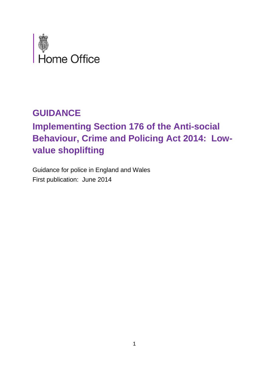

# **GUIDANCE**

# **Implementing Section 176 of the Anti-social Behaviour, Crime and Policing Act 2014: Lowvalue shoplifting**

Guidance for police in England and Wales First publication: June 2014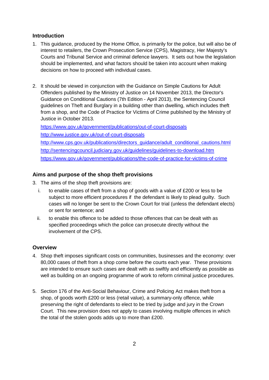## **Introduction**

- 1. This guidance, produced by the Home Office, is primarily for the police, but will also be of interest to retailers, the Crown Prosecution Service (CPS), Magistracy, Her Majesty's Courts and Tribunal Service and criminal defence lawyers. It sets out how the legislation should be implemented, and what factors should be taken into account when making decisions on how to proceed with individual cases.
- 2. It should be viewed in conjunction with the Guidance on Simple Cautions for Adult Offenders published by the Ministry of Justice on 14 November 2013, the Director's Guidance on Conditional Cautions (7th Edition - April 2013), the Sentencing Council guidelines on Theft and Burglary in a building other than dwelling, which includes theft from a shop, and the Code of Practice for Victims of Crime published by the Ministry of Justice in October 2013.

<https://www.gov.uk/government/publications/out-of-court-disposals> <http://www.justice.gov.uk/out-of-court-disposals> [http://www.cps.gov.uk/publications/directors\\_guidance/adult\\_conditional\\_cautions.html](http://www.cps.gov.uk/publications/directors_guidance/adult_conditional_cautions.html) <http://sentencingcouncil.judiciary.gov.uk/guidelines/guidelines-to-download.htm> <https://www.gov.uk/government/publications/the-code-of-practice-for-victims-of-crime>

# **Aims and purpose of the shop theft provisions**

- 3. The aims of the shop theft provisions are:
	- i. to enable cases of theft from a shop of goods with a value of £200 or less to be subject to more efficient procedures if the defendant is likely to plead guilty. Such cases will no longer be sent to the Crown Court for trial (unless the defendant elects) or sent for sentence; and
	- ii. to enable this offence to be added to those offences that can be dealt with as specified proceedings which the police can prosecute directly without the involvement of the CPS.

## **Overview**

- 4. Shop theft imposes significant costs on communities, businesses and the economy: over 80,000 cases of theft from a shop come before the courts each year. These provisions are intended to ensure such cases are dealt with as swiftly and efficiently as possible as well as building on an ongoing programme of work to reform criminal justice procedures.
- 5. Section 176 of the Anti-Social Behaviour, Crime and Policing Act makes theft from a shop, of goods worth £200 or less (retail value), a summary-only offence, while preserving the right of defendants to elect to be tried by judge and jury in the Crown Court. This new provision does not apply to cases involving multiple offences in which the total of the stolen goods adds up to more than £200.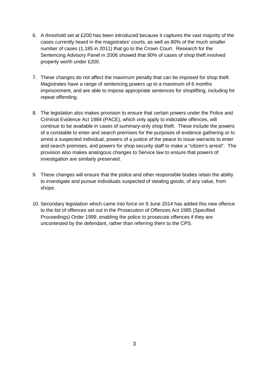- 6. A threshold set at £200 has been introduced because it captures the vast majority of the cases currently heard in the magistrates' courts, as well as 80% of the much smaller number of cases (1,185 in 2011) that go to the Crown Court. Research for the Sentencing Advisory Panel in 2006 showed that 90% of cases of shop theft involved property worth under £200.
- 7. These changes do not affect the maximum penalty that can be imposed for shop theft. Magistrates have a range of sentencing powers up to a maximum of 6 months imprisonment, and are able to impose appropriate sentences for shoplifting, including for repeat offending.
- 8. The legislation also makes provision to ensure that certain powers under the Police and Criminal Evidence Act 1984 (PACE), which only apply to indictable offences, will continue to be available in cases of summary-only shop theft. These include the powers of a constable to enter and search premises for the purposes of evidence gathering or to arrest a suspected individual, powers of a justice of the peace to issue warrants to enter and search premises, and powers for shop security staff to make a "citizen's arrest". The provision also makes analogous changes to Service law to ensure that powers of investigation are similarly preserved.
- 9. These changes will ensure that the police and other responsible bodies retain the ability to investigate and pursue individuals suspected of stealing goods, of any value, from shops.
- 10. Secondary legislation which came into force on 9 June 2014 has added this new offence to the list of offences set out in the Prosecution of Offences Act 1985 (Specified Proceedings) Order 1999, enabling the police to prosecute offences if they are uncontested by the defendant, rather than referring them to the CPS.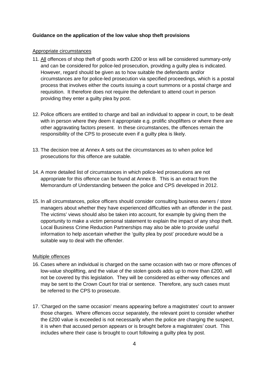#### **Guidance on the application of the low value shop theft provisions**

#### Appropriate circumstances

- 11. All offences of shop theft of goods worth £200 or less will be considered summary-only and can be considered for police-led prosecution, providing a guilty plea is indicated. However, regard should be given as to how suitable the defendants and/or circumstances are for police-led prosecution via specified proceedings, which is a postal process that involves either the courts issuing a court summons or a postal charge and requisition. It therefore does not require the defendant to attend court in person providing they enter a guilty plea by post.
- 12. Police officers are entitled to charge and bail an individual to appear in court, to be dealt with in person where they deem it appropriate e.g. prolific shoplifters or where there are other aggravating factors present. In these circumstances, the offences remain the responsibility of the CPS to prosecute even if a guilty plea is likely.
- 13. The decision tree at Annex A sets out the circumstances as to when police led prosecutions for this offence are suitable.
- 14. A more detailed list of circumstances in which police-led prosecutions are not appropriate for this offence can be found at Annex B. This is an extract from the Memorandum of Understanding between the police and CPS developed in 2012.
- 15. In all circumstances, police officers should consider consulting business owners / store managers about whether they have experienced difficulties with an offender in the past. The victims' views should also be taken into account, for example by giving them the opportunity to make a victim personal statement to explain the impact of any shop theft. Local Business Crime Reduction Partnerships may also be able to provide useful information to help ascertain whether the 'guilty plea by post' procedure would be a suitable way to deal with the offender.

#### Multiple offences

- 16. Cases where an individual is charged on the same occasion with two or more offences of low-value shoplifting, and the value of the stolen goods adds up to more than £200, will not be covered by this legislation. They will be considered as either-way offences and may be sent to the Crown Court for trial or sentence. Therefore, any such cases must be referred to the CPS to prosecute.
- 17. 'Charged on the same occasion' means appearing before a magistrates' court to answer those charges. Where offences occur separately, the relevant point to consider whether the £200 value is exceeded is not necessarily when the police are charging the suspect, it is when that accused person appears or is brought before a magistrates' court. This includes where their case is brought to court following a guilty plea by post.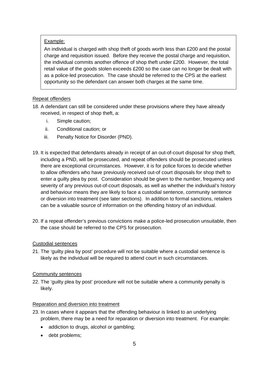## Example:

An individual is charged with shop theft of goods worth less than £200 and the postal charge and requisition issued. Before they receive the postal charge and requisition, the individual commits another offence of shop theft under £200. However, the total retail value of the goods stolen exceeds £200 so the case can no longer be dealt with as a police-led prosecution. The case should be referred to the CPS at the earliest opportunity so the defendant can answer both charges at the same time.

## Repeat offenders

- 18. A defendant can still be considered under these provisions where they have already received, in respect of shop theft, a:
	- i. Simple caution;
	- ii. Conditional caution; or
	- iii. Penalty Notice for Disorder (PND).
- 19. It is expected that defendants already in receipt of an out-of-court disposal for shop theft, including a PND, will be prosecuted, and repeat offenders should be prosecuted unless there are exceptional circumstances. However, it is for police forces to decide whether to allow offenders who have previously received out-of court disposals for shop theft to enter a guilty plea by post. Consideration should be given to the number, frequency and severity of any previous out-of-court disposals, as well as whether the individual's history and behaviour means they are likely to face a custodial sentence, community sentence or diversion into treatment (see later sections). In addition to formal sanctions, retailers can be a valuable source of information on the offending history of an individual.
- 20. If a repeat offender's previous convictions make a police-led prosecution unsuitable, then the case should be referred to the CPS for prosecution.

#### Custodial sentences

21. The 'guilty plea by post' procedure will not be suitable where a custodial sentence is likely as the individual will be required to attend court in such circumstances.

#### Community sentences

22. The 'guilty plea by post' procedure will not be suitable where a community penalty is likely.

#### Reparation and diversion into treatment

- 23. In cases where it appears that the offending behaviour is linked to an underlying problem, there may be a need for reparation or diversion into treatment. For example:
	- addiction to drugs, alcohol or gambling;
	- debt problems;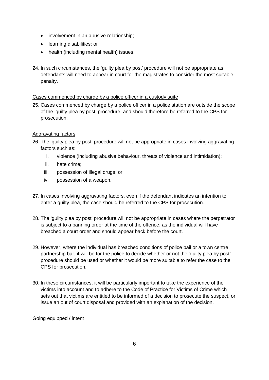- involvement in an abusive relationship;
- learning disabilities; or
- health (including mental health) issues.
- 24. In such circumstances, the 'guilty plea by post' procedure will not be appropriate as defendants will need to appear in court for the magistrates to consider the most suitable penalty.

## Cases commenced by charge by a police officer in a custody suite

25. Cases commenced by charge by a police officer in a police station are outside the scope of the 'guilty plea by post' procedure, and should therefore be referred to the CPS for prosecution.

## Aggravating factors

- 26. The 'guilty plea by post' procedure will not be appropriate in cases involving aggravating factors such as:
	- i. violence (including abusive behaviour, threats of violence and intimidation);
	- ii. hate crime;
	- iii. possession of illegal drugs; or
	- iv. possession of a weapon.
- 27. In cases involving aggravating factors, even if the defendant indicates an intention to enter a guilty plea, the case should be referred to the CPS for prosecution.
- 28. The 'guilty plea by post' procedure will not be appropriate in cases where the perpetrator is subject to a banning order at the time of the offence, as the individual will have breached a court order and should appear back before the court.
- 29. However, where the individual has breached conditions of police bail or a town centre partnership bar, it will be for the police to decide whether or not the 'guilty plea by post' procedure should be used or whether it would be more suitable to refer the case to the CPS for prosecution.
- 30. In these circumstances, it will be particularly important to take the experience of the victims into account and to adhere to the Code of Practice for Victims of Crime which sets out that victims are entitled to be informed of a decision to prosecute the suspect, or issue an out of court disposal and provided with an explanation of the decision.

#### Going equipped / intent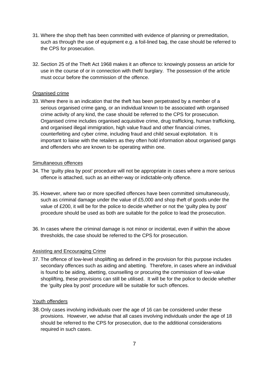- 31. Where the shop theft has been committed with evidence of planning or premeditation, such as through the use of equipment e.g. a foil-lined bag, the case should be referred to the CPS for prosecution.
- 32. Section 25 of the Theft Act 1968 makes it an offence to: knowingly possess an article for use in the course of or in connection with theft/ burglary. The possession of the article must occur before the commission of the offence.

#### Organised crime

33. Where there is an indication that the theft has been perpetrated by a member of a serious organised crime gang, or an individual known to be associated with organised crime activity of any kind, the case should be referred to the CPS for prosecution. Organised crime includes organised acquisitive crime, drug trafficking, human trafficking, and organised illegal immigration, high value fraud and other financial crimes, counterfeiting and cyber crime, including fraud and child sexual exploitation. It is important to liaise with the retailers as they often hold information about organised gangs and offenders who are known to be operating within one.

#### Simultaneous offences

- 34. The 'guilty plea by post' procedure will not be appropriate in cases where a more serious offence is attached, such as an either-way or indictable-only offence.
- 35. However, where two or more specified offences have been committed simultaneously, such as criminal damage under the value of £5,000 and shop theft of goods under the value of £200, it will be for the police to decide whether or not the 'guilty plea by post' procedure should be used as both are suitable for the police to lead the prosecution.
- 36. In cases where the criminal damage is not minor or incidental, even if within the above thresholds, the case should be referred to the CPS for prosecution.

#### Assisting and Encouraging Crime

37. The offence of low-level shoplifting as defined in the provision for this purpose includes secondary offences such as aiding and abetting. Therefore, in cases where an individual is found to be aiding, abetting, counselling or procuring the commission of low-value shoplifting, these provisions can still be utilised. It will be for the police to decide whether the 'guilty plea by post' procedure will be suitable for such offences.

#### Youth offenders

38.Only cases involving individuals over the age of 16 can be considered under these provisions. However, we advise that all cases involving individuals under the age of 18 should be referred to the CPS for prosecution, due to the additional considerations required in such cases.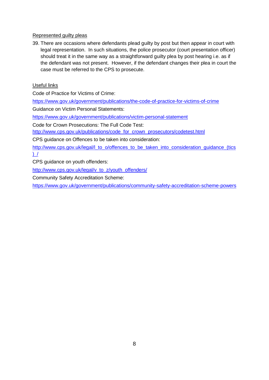## Represented guilty pleas

39. There are occasions where defendants plead guilty by post but then appear in court with legal representation. In such situations, the police prosecutor (court presentation officer) should treat it in the same way as a straightforward guilty plea by post hearing i.e. as if the defendant was not present. However, if the defendant changes their plea in court the case must be referred to the CPS to prosecute.

## Useful links

Code of Practice for Victims of Crime:

<https://www.gov.uk/government/publications/the-code-of-practice-for-victims-of-crime>

Guidance on Victim Personal Statements:

<https://www.gov.uk/government/publications/victim-personal-statement>

Code for Crown Prosecutions: The Full Code Test:

[http://www.cps.gov.uk/publications/code\\_for\\_crown\\_prosecutors/codetest.html](http://www.cps.gov.uk/publications/code_for_crown_prosecutors/test.html)

CPS guidance on Offences to be taken into consideration:

[http://www.cps.gov.uk/legal/l\\_to\\_o/offences\\_to\\_be\\_taken\\_into\\_consideration\\_guidance\\_\(tics](http://www.cps.gov.uk/legal/l_to_o/offences_to_be_taken_into_consideration_guidance_(tics)_/)  $)$  /

CPS guidance on youth offenders:

[http://www.cps.gov.uk/legal/v\\_to\\_z/youth\\_offenders/](http://www.cps.gov.uk/legal/v_to_z/youth_offenders/)

Community Safety Accreditation Scheme:

<https://www.gov.uk/government/publications/community-safety-accreditation-scheme-powers>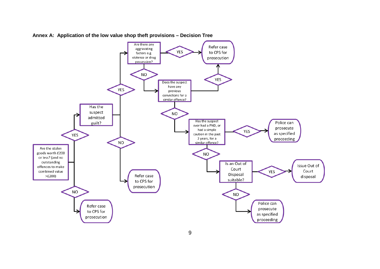

**Annex A: Application of the low value shop theft provisions – Decision Tree**